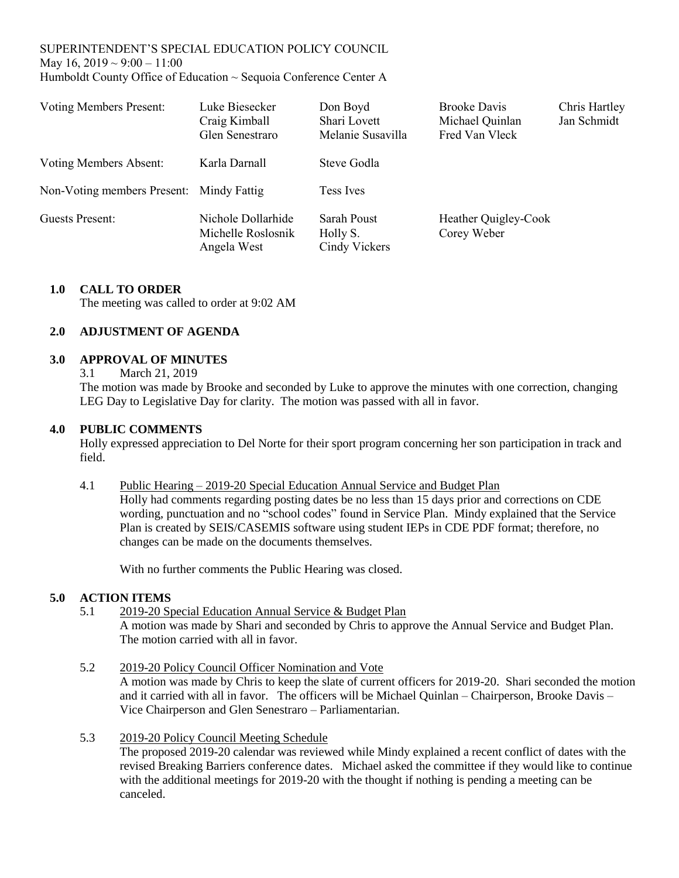## SUPERINTENDENT'S SPECIAL EDUCATION POLICY COUNCIL May 16,  $2019 \sim 9:00 - 11:00$ Humboldt County Office of Education ~ Sequoia Conference Center A

| <b>Voting Members Present:</b>           | Luke Biesecker<br>Craig Kimball<br>Glen Senestraro      | Don Boyd<br>Shari Lovett<br>Melanie Susavilla | <b>Brooke Davis</b><br>Michael Quinlan<br>Fred Van Vleck | Chris Hartley<br>Jan Schmidt |
|------------------------------------------|---------------------------------------------------------|-----------------------------------------------|----------------------------------------------------------|------------------------------|
| Voting Members Absent:                   | Karla Darnall                                           | Steve Godla                                   |                                                          |                              |
| Non-Voting members Present: Mindy Fattig |                                                         | <b>Tess Ives</b>                              |                                                          |                              |
| Guests Present:                          | Nichole Dollarhide<br>Michelle Roslosnik<br>Angela West | Sarah Poust<br>Holly S.<br>Cindy Vickers      | Heather Quigley-Cook<br>Corey Weber                      |                              |

## **1.0 CALL TO ORDER**

The meeting was called to order at 9:02 AM

# **2.0 ADJUSTMENT OF AGENDA**

## **3.0 APPROVAL OF MINUTES**

3.1 March 21, 2019

The motion was made by Brooke and seconded by Luke to approve the minutes with one correction, changing LEG Day to Legislative Day for clarity. The motion was passed with all in favor.

## **4.0 PUBLIC COMMENTS**

Holly expressed appreciation to Del Norte for their sport program concerning her son participation in track and field.

#### 4.1 Public Hearing – 2019-20 Special Education Annual Service and Budget Plan

Holly had comments regarding posting dates be no less than 15 days prior and corrections on CDE wording, punctuation and no "school codes" found in Service Plan. Mindy explained that the Service Plan is created by SEIS/CASEMIS software using student IEPs in CDE PDF format; therefore, no changes can be made on the documents themselves.

With no further comments the Public Hearing was closed.

## **5.0 ACTION ITEMS**

- 5.1 2019-20 Special Education Annual Service & Budget Plan A motion was made by Shari and seconded by Chris to approve the Annual Service and Budget Plan. The motion carried with all in favor.
- 5.2 2019-20 Policy Council Officer Nomination and Vote A motion was made by Chris to keep the slate of current officers for 2019-20. Shari seconded the motion and it carried with all in favor. The officers will be Michael Quinlan – Chairperson, Brooke Davis – Vice Chairperson and Glen Senestraro – Parliamentarian.
- 5.3 2019-20 Policy Council Meeting Schedule

The proposed 2019-20 calendar was reviewed while Mindy explained a recent conflict of dates with the revised Breaking Barriers conference dates. Michael asked the committee if they would like to continue with the additional meetings for 2019-20 with the thought if nothing is pending a meeting can be canceled.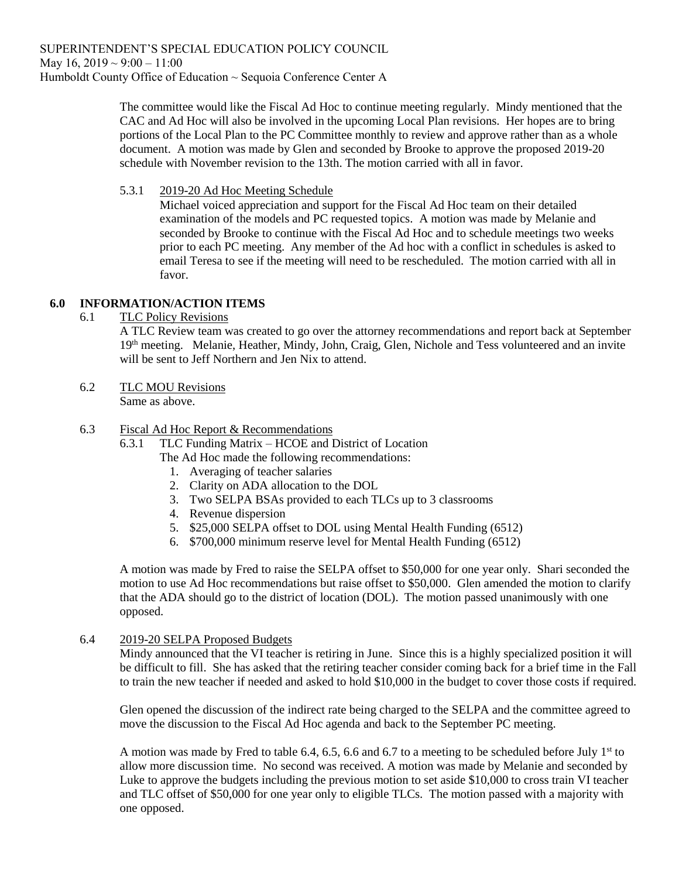The committee would like the Fiscal Ad Hoc to continue meeting regularly. Mindy mentioned that the CAC and Ad Hoc will also be involved in the upcoming Local Plan revisions. Her hopes are to bring portions of the Local Plan to the PC Committee monthly to review and approve rather than as a whole document. A motion was made by Glen and seconded by Brooke to approve the proposed 2019-20 schedule with November revision to the 13th. The motion carried with all in favor.

5.3.1 2019-20 Ad Hoc Meeting Schedule

Michael voiced appreciation and support for the Fiscal Ad Hoc team on their detailed examination of the models and PC requested topics. A motion was made by Melanie and seconded by Brooke to continue with the Fiscal Ad Hoc and to schedule meetings two weeks prior to each PC meeting. Any member of the Ad hoc with a conflict in schedules is asked to email Teresa to see if the meeting will need to be rescheduled. The motion carried with all in favor.

# **6.0 INFORMATION/ACTION ITEMS**

6.1 TLC Policy Revisions

A TLC Review team was created to go over the attorney recommendations and report back at September 19<sup>th</sup> meeting. Melanie, Heather, Mindy, John, Craig, Glen, Nichole and Tess volunteered and an invite will be sent to Jeff Northern and Jen Nix to attend.

- 6.2 TLC MOU Revisions Same as above.
- 6.3 Fiscal Ad Hoc Report & Recommendations
	- 6.3.1 TLC Funding Matrix HCOE and District of Location
		- The Ad Hoc made the following recommendations:
			- 1. Averaging of teacher salaries
			- 2. Clarity on ADA allocation to the DOL
			- 3. Two SELPA BSAs provided to each TLCs up to 3 classrooms
			- 4. Revenue dispersion
			- 5. \$25,000 SELPA offset to DOL using Mental Health Funding (6512)
			- 6. \$700,000 minimum reserve level for Mental Health Funding (6512)

A motion was made by Fred to raise the SELPA offset to \$50,000 for one year only. Shari seconded the motion to use Ad Hoc recommendations but raise offset to \$50,000. Glen amended the motion to clarify that the ADA should go to the district of location (DOL). The motion passed unanimously with one opposed.

6.4 2019-20 SELPA Proposed Budgets

Mindy announced that the VI teacher is retiring in June. Since this is a highly specialized position it will be difficult to fill. She has asked that the retiring teacher consider coming back for a brief time in the Fall to train the new teacher if needed and asked to hold \$10,000 in the budget to cover those costs if required.

Glen opened the discussion of the indirect rate being charged to the SELPA and the committee agreed to move the discussion to the Fiscal Ad Hoc agenda and back to the September PC meeting.

A motion was made by Fred to table 6.4, 6.5, 6.6 and 6.7 to a meeting to be scheduled before July 1st to allow more discussion time. No second was received. A motion was made by Melanie and seconded by Luke to approve the budgets including the previous motion to set aside \$10,000 to cross train VI teacher and TLC offset of \$50,000 for one year only to eligible TLCs. The motion passed with a majority with one opposed.